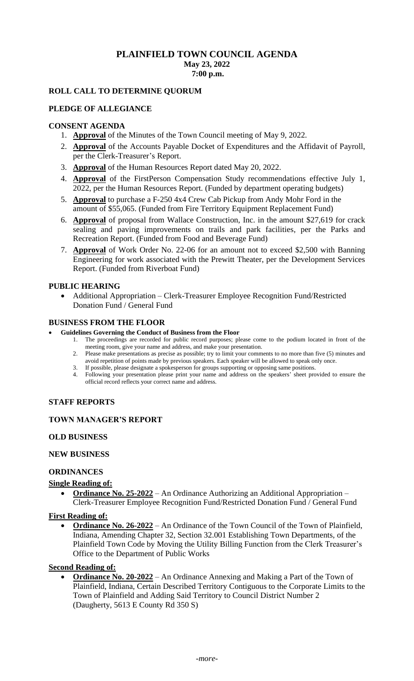## **PLAINFIELD TOWN COUNCIL AGENDA May 23, 2022 7:00 p.m.**

## **ROLL CALL TO DETERMINE QUORUM**

### **PLEDGE OF ALLEGIANCE**

## **CONSENT AGENDA**

- 1. **Approval** of the Minutes of the Town Council meeting of May 9, 2022.
- 2. **Approval** of the Accounts Payable Docket of Expenditures and the Affidavit of Payroll, per the Clerk-Treasurer's Report.
- 3. **Approval** of the Human Resources Report dated May 20, 2022.
- 4. **Approval** of the FirstPerson Compensation Study recommendations effective July 1, 2022, per the Human Resources Report. (Funded by department operating budgets)
- 5. **Approval** to purchase a F-250 4x4 Crew Cab Pickup from Andy Mohr Ford in the amount of \$55,065. (Funded from Fire Territory Equipment Replacement Fund)
- 6. **Approval** of proposal from Wallace Construction, Inc. in the amount \$27,619 for crack sealing and paving improvements on trails and park facilities, per the Parks and Recreation Report. (Funded from Food and Beverage Fund)
- 7. **Approval** of Work Order No. 22-06 for an amount not to exceed \$2,500 with Banning Engineering for work associated with the Prewitt Theater, per the Development Services Report. (Funded from Riverboat Fund)

#### **PUBLIC HEARING**

• Additional Appropriation – Clerk-Treasurer Employee Recognition Fund/Restricted Donation Fund / General Fund

#### **BUSINESS FROM THE FLOOR**

#### • **Guidelines Governing the Conduct of Business from the Floor**

- 1. The proceedings are recorded for public record purposes; please come to the podium located in front of the meeting room, give your name and address, and make your presentation.
- 2. Please make presentations as precise as possible; try to limit your comments to no more than five (5) minutes and avoid repetition of points made by previous speakers. Each speaker will be allowed to speak only once.
- 3. If possible, please designate a spokesperson for groups supporting or opposing same positions.
- 4. Following your presentation please print your name and address on the speakers' sheet provided to ensure the official record reflects your correct name and address.

### **STAFF REPORTS**

## **TOWN MANAGER'S REPORT**

#### **OLD BUSINESS**

#### **NEW BUSINESS**

#### **ORDINANCES**

#### **Single Reading of:**

• **Ordinance No. 25-2022** – An Ordinance Authorizing an Additional Appropriation – Clerk-Treasurer Employee Recognition Fund/Restricted Donation Fund / General Fund

#### **First Reading of:**

• **Ordinance No. 26-2022** – An Ordinance of the Town Council of the Town of Plainfield, Indiana, Amending Chapter 32, Section 32.001 Establishing Town Departments, of the Plainfield Town Code by Moving the Utility Billing Function from the Clerk Treasurer's Office to the Department of Public Works

#### **Second Reading of:**

• **Ordinance No. 20-2022** – An Ordinance Annexing and Making a Part of the Town of Plainfield, Indiana, Certain Described Territory Contiguous to the Corporate Limits to the Town of Plainfield and Adding Said Territory to Council District Number 2 (Daugherty, 5613 E County Rd 350 S)